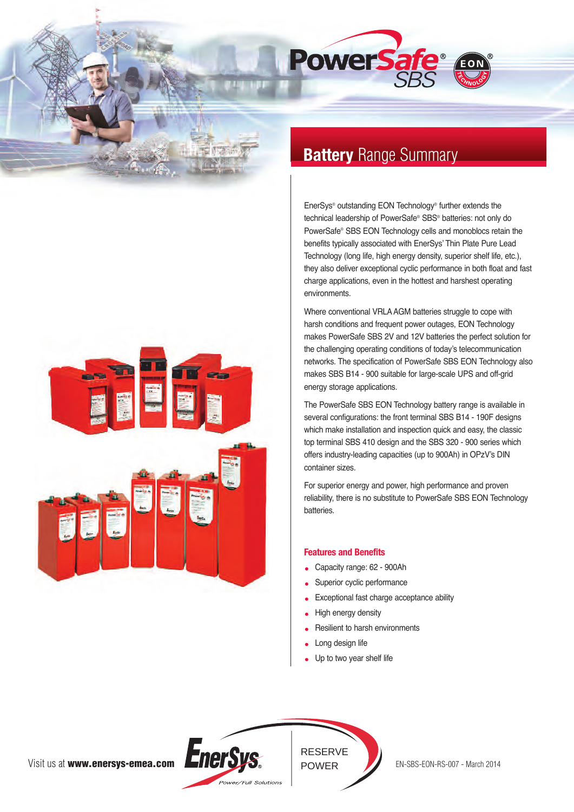



EnerSys® outstanding EON Technology® further extends the technical leadership of PowerSafe® SBS® batteries: not only do PowerSafe® SBS EON Technology cells and monoblocs retain the benefits typically associated with EnerSys' Thin Plate Pure Lead Technology (long life, high energy density, superior shelf life, etc.), they also deliver exceptional cyclic performance in both float and fast charge applications, even in the hottest and harshest operating environments.

Where conventional VRLA AGM batteries struggle to cope with harsh conditions and frequent power outages, EON Technology makes PowerSafe SBS 2V and 12V batteries the perfect solution for the challenging operating conditions of today's telecommunication networks. The specification of PowerSafe SBS EON Technology also makes SBS B14 - 900 suitable for large-scale UPS and off-grid energy storage applications.

The PowerSafe SBS EON Technology battery range is available in several configurations: the front terminal SBS B14 - 190F designs which make installation and inspection quick and easy, the classic top terminal SBS 410 design and the SBS 320 - 900 series which offers industry-leading capacities (up to 900Ah) in OPzV's DIN container sizes.

For superior energy and power, high performance and proven reliability, there is no substitute to PowerSafe SBS EON Technology batteries.

# **Features and Benefits**

- Capacity range: 62 900Ah
- Superior cyclic performance
- Exceptional fast charge acceptance ability
- High energy density
- Resilient to harsh environments
- Long design life
- Up to two year shelf life



RESERVE